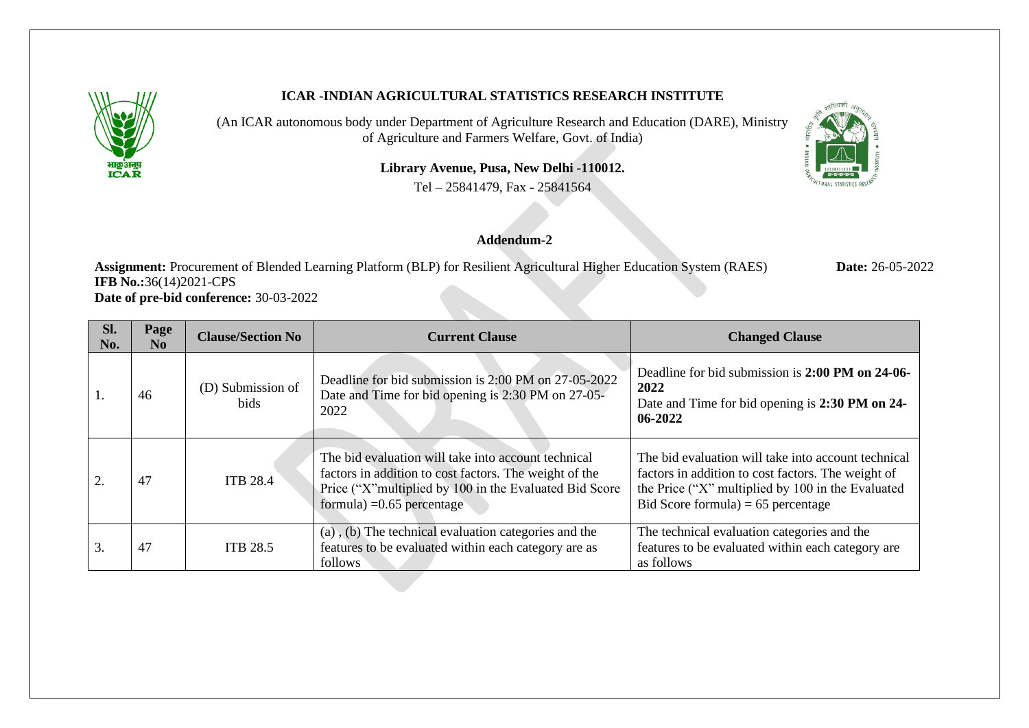

## **ICAR -INDIAN AGRICULTURAL STATISTICS RESEARCH INSTITUTE**

(An ICAR autonomous body under Department of Agriculture Research and Education (DARE), Ministry of Agriculture and Farmers Welfare, Govt. of India)

**Library Avenue, Pusa, New Delhi -110012.**

Tel – 25841479, Fax - 25841564



## **Addendum-2**

**Assignment:** Procurement of Blended Learning Platform (BLP) for Resilient Agricultural Higher Education System (RAES) **Date:** 26-05-2022 **IFB** No.:36(14)2021-CPS **Date of pre-bid conference:** 30-03-2022

| Sl.<br>No. | Page<br>No. | <b>Clause/Section No</b>         | <b>Current Clause</b>                                                                                                                                                                                   | <b>Changed Clause</b>                                                                                                                                                                                  |
|------------|-------------|----------------------------------|---------------------------------------------------------------------------------------------------------------------------------------------------------------------------------------------------------|--------------------------------------------------------------------------------------------------------------------------------------------------------------------------------------------------------|
| -1.        | 46          | (D) Submission of<br><b>bids</b> | Deadline for bid submission is 2:00 PM on 27-05-2022<br>Date and Time for bid opening is 2:30 PM on 27-05-<br>2022                                                                                      | Deadline for bid submission is 2:00 PM on 24-06-<br>2022<br>Date and Time for bid opening is 2:30 PM on 24-<br>06-2022                                                                                 |
| 2.         | 47          | <b>ITB 28.4</b>                  | The bid evaluation will take into account technical<br>factors in addition to cost factors. The weight of the<br>Price ("X"multiplied by 100 in the Evaluated Bid Score<br>formula) = $0.65$ percentage | The bid evaluation will take into account technical<br>factors in addition to cost factors. The weight of<br>the Price ("X" multiplied by 100 in the Evaluated<br>Bid Score formula) = $65$ percentage |
| 3.         | 47          | <b>ITB 28.5</b>                  | (a), (b) The technical evaluation categories and the<br>features to be evaluated within each category are as<br>follows                                                                                 | The technical evaluation categories and the<br>features to be evaluated within each category are<br>as follows                                                                                         |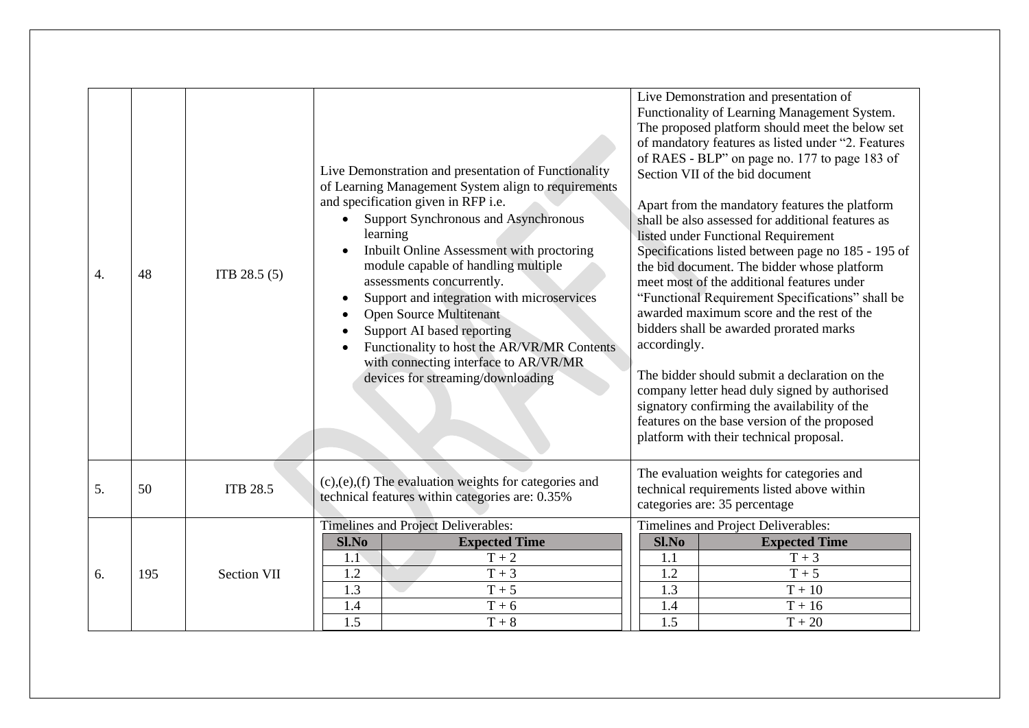| $\overline{4}$ . | 48  | ITB 28.5(5)     | Live Demonstration and presentation of Functionality<br>of Learning Management System align to requirements<br>and specification given in RFP i.e.<br><b>Support Synchronous and Asynchronous</b><br>learning<br>Inbuilt Online Assessment with proctoring<br>module capable of handling multiple<br>assessments concurrently.<br>Support and integration with microservices<br><b>Open Source Multitenant</b><br>Support AI based reporting<br>Functionality to host the AR/VR/MR Contents<br>with connecting interface to AR/VR/MR<br>devices for streaming/downloading | Live Demonstration and presentation of<br>Functionality of Learning Management System.<br>The proposed platform should meet the below set<br>of mandatory features as listed under "2. Features<br>of RAES - BLP" on page no. 177 to page 183 of<br>Section VII of the bid document<br>Apart from the mandatory features the platform<br>shall be also assessed for additional features as<br>listed under Functional Requirement<br>Specifications listed between page no 185 - 195 of<br>the bid document. The bidder whose platform<br>meet most of the additional features under<br>"Functional Requirement Specifications" shall be<br>awarded maximum score and the rest of the<br>bidders shall be awarded prorated marks<br>accordingly.<br>The bidder should submit a declaration on the<br>company letter head duly signed by authorised<br>signatory confirming the availability of the<br>features on the base version of the proposed<br>platform with their technical proposal. |
|------------------|-----|-----------------|---------------------------------------------------------------------------------------------------------------------------------------------------------------------------------------------------------------------------------------------------------------------------------------------------------------------------------------------------------------------------------------------------------------------------------------------------------------------------------------------------------------------------------------------------------------------------|-----------------------------------------------------------------------------------------------------------------------------------------------------------------------------------------------------------------------------------------------------------------------------------------------------------------------------------------------------------------------------------------------------------------------------------------------------------------------------------------------------------------------------------------------------------------------------------------------------------------------------------------------------------------------------------------------------------------------------------------------------------------------------------------------------------------------------------------------------------------------------------------------------------------------------------------------------------------------------------------------|
| 5.               | 50  | <b>ITB 28.5</b> | $(c)$ , $(e)$ , $(f)$ The evaluation weights for categories and<br>technical features within categories are: 0.35%                                                                                                                                                                                                                                                                                                                                                                                                                                                        | The evaluation weights for categories and<br>technical requirements listed above within<br>categories are: 35 percentage                                                                                                                                                                                                                                                                                                                                                                                                                                                                                                                                                                                                                                                                                                                                                                                                                                                                      |
| 6.               | 195 | Section VII     | Timelines and Project Deliverables:<br>Sl.No<br><b>Expected Time</b><br>$T + 2$<br>1.1<br>$T + 3$<br>1.2<br>1.3<br>$T + 5$<br>1.4<br>$T + 6$<br>$\overline{1.5}$<br>$\rm T+8$                                                                                                                                                                                                                                                                                                                                                                                             | Timelines and Project Deliverables:<br>Sl.No<br><b>Expected Time</b><br>1.1<br>$T + 3$<br>1.2<br>$T + 5$<br>1.3<br>$T + 10$<br>1.4<br>$T + 16$<br>$\overline{1.5}$<br>$T + 20$                                                                                                                                                                                                                                                                                                                                                                                                                                                                                                                                                                                                                                                                                                                                                                                                                |